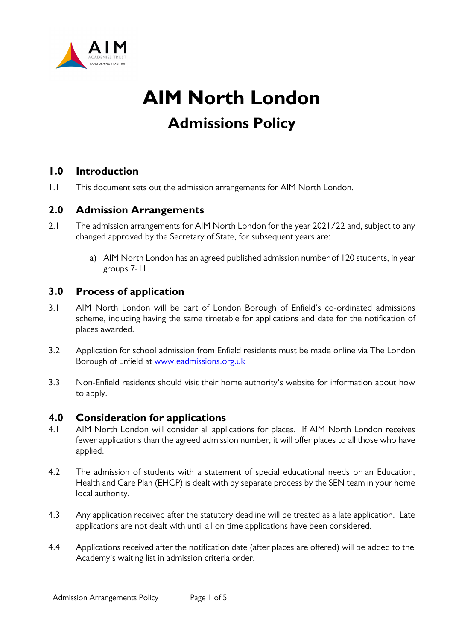

# **AIM North London Admissions Policy**

## **1.0 Introduction**

1.1 This document sets out the admission arrangements for AIM North London.

## **2.0 Admission Arrangements**

- 2.1 The admission arrangements for AIM North London for the year 2021/22 and, subject to any changed approved by the Secretary of State, for subsequent years are:
	- a) AIM North London has an agreed published admission number of 120 students, in year groups 7-11.

#### **3.0 Process of application**

- 3.1 AIM North London will be part of London Borough of Enfield's co-ordinated admissions scheme, including having the same timetable for applications and date for the notification of places awarded.
- 3.2 Application for school admission from Enfield residents must be made online via The London Borough of Enfield at [www.eadmissions.org.uk](http://www.eadmissions.org.uk/)
- 3.3 Non-Enfield residents should visit their home authority's website for information about how to apply.

#### **4.0 Consideration for applications**

- 4.1 AIM North London will consider all applications for places. If AIM North London receives fewer applications than the agreed admission number, it will offer places to all those who have applied.
- 4.2 The admission of students with a statement of special educational needs or an Education, Health and Care Plan (EHCP) is dealt with by separate process by the SEN team in your home local authority.
- 4.3 Any application received after the statutory deadline will be treated as a late application. Late applications are not dealt with until all on time applications have been considered.
- 4.4 Applications received after the notification date (after places are offered) will be added to the Academy's waiting list in admission criteria order.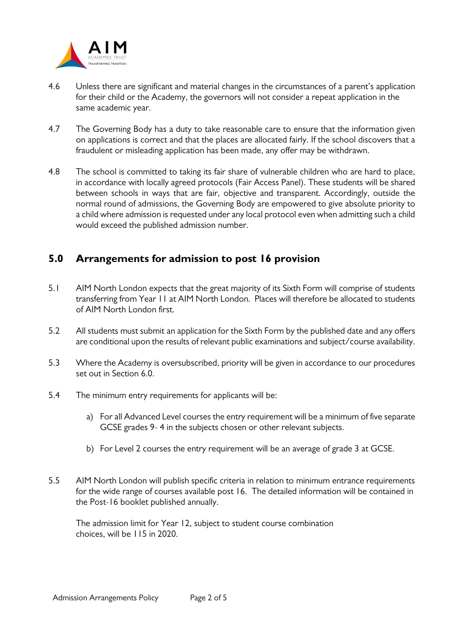

- 4.6 Unless there are significant and material changes in the circumstances of a parent's application for their child or the Academy, the governors will not consider a repeat application in the same academic year.
- 4.7 The Governing Body has a duty to take reasonable care to ensure that the information given on applications is correct and that the places are allocated fairly. If the school discovers that a fraudulent or misleading application has been made, any offer may be withdrawn.
- 4.8 The school is committed to taking its fair share of vulnerable children who are hard to place, in accordance with locally agreed protocols (Fair Access Panel). These students will be shared between schools in ways that are fair, objective and transparent. Accordingly, outside the normal round of admissions, the Governing Body are empowered to give absolute priority to a child where admission is requested under any local protocol even when admitting such a child would exceed the published admission number.

# **5.0 Arrangements for admission to post 16 provision**

- 5.1 AIM North London expects that the great majority of its Sixth Form will comprise of students transferring from Year 11 at AIM North London. Places will therefore be allocated to students of AIM North London first.
- 5.2 All students must submit an application for the Sixth Form by the published date and any offers are conditional upon the results of relevant public examinations and subject/course availability.
- 5.3 Where the Academy is oversubscribed, priority will be given in accordance to our procedures set out in Section 6.0.
- 5.4 The minimum entry requirements for applicants will be:
	- a) For all Advanced Level courses the entry requirement will be a minimum of five separate GCSE grades 9- 4 in the subjects chosen or other relevant subjects.
	- b) For Level 2 courses the entry requirement will be an average of grade 3 at GCSE.
- 5.5 AIM North London will publish specific criteria in relation to minimum entrance requirements for the wide range of courses available post 16. The detailed information will be contained in the Post-16 booklet published annually.

 The admission limit for Year 12, subject to student course combination choices, will be 115 in 2020.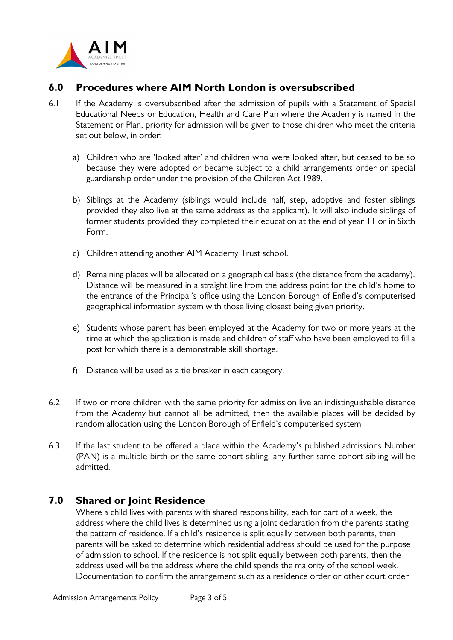

## **6.0 Procedures where AIM North London is oversubscribed**

- 6.1 If the Academy is oversubscribed after the admission of pupils with a Statement of Special Educational Needs or Education, Health and Care Plan where the Academy is named in the Statement or Plan, priority for admission will be given to those children who meet the criteria set out below, in order:
	- a) Children who are 'looked after' and children who were looked after, but ceased to be so because they were adopted or became subject to a child arrangements order or special guardianship order under the provision of the Children Act 1989.
	- b) Siblings at the Academy (siblings would include half, step, adoptive and foster siblings provided they also live at the same address as the applicant). It will also include siblings of former students provided they completed their education at the end of year 11 or in Sixth Form.
	- c) Children attending another AIM Academy Trust school.
	- d) Remaining places will be allocated on a geographical basis (the distance from the academy). Distance will be measured in a straight line from the address point for the child's home to the entrance of the Principal's office using the London Borough of Enfield's computerised geographical information system with those living closest being given priority.
	- e) Students whose parent has been employed at the Academy for two or more years at the time at which the application is made and children of staff who have been employed to fill a post for which there is a demonstrable skill shortage.
	- f) Distance will be used as a tie breaker in each category.
- 6.2 If two or more children with the same priority for admission live an indistinguishable distance from the Academy but cannot all be admitted, then the available places will be decided by random allocation using the London Borough of Enfield's computerised system
- 6.3 If the last student to be offered a place within the Academy's published admissions Number (PAN) is a multiple birth or the same cohort sibling, any further same cohort sibling will be admitted.

#### **7.0 Shared or Joint Residence**

Where a child lives with parents with shared responsibility, each for part of a week, the address where the child lives is determined using a joint declaration from the parents stating the pattern of residence. If a child's residence is split equally between both parents, then parents will be asked to determine which residential address should be used for the purpose of admission to school. If the residence is not split equally between both parents, then the address used will be the address where the child spends the majority of the school week. Documentation to confirm the arrangement such as a residence order or other court order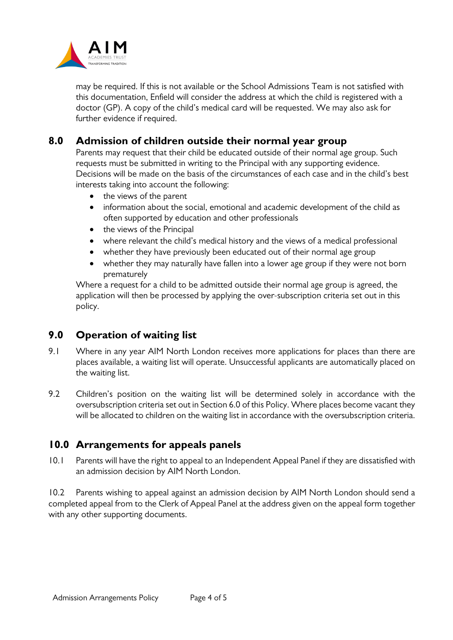

may be required. If this is not available or the School Admissions Team is not satisfied with this documentation, Enfield will consider the address at which the child is registered with a doctor (GP). A copy of the child's medical card will be requested. We may also ask for further evidence if required.

## **8.0 Admission of children outside their normal year group**

Parents may request that their child be educated outside of their normal age group. Such requests must be submitted in writing to the Principal with any supporting evidence. Decisions will be made on the basis of the circumstances of each case and in the child's best interests taking into account the following:

- the views of the parent
- information about the social, emotional and academic development of the child as often supported by education and other professionals
- the views of the Principal
- where relevant the child's medical history and the views of a medical professional
- whether they have previously been educated out of their normal age group
- whether they may naturally have fallen into a lower age group if they were not born prematurely

Where a request for a child to be admitted outside their normal age group is agreed, the application will then be processed by applying the over-subscription criteria set out in this policy.

#### **9.0 Operation of waiting list**

- 9.1 Where in any year AIM North London receives more applications for places than there are places available, a waiting list will operate. Unsuccessful applicants are automatically placed on the waiting list.
- 9.2 Children's position on the waiting list will be determined solely in accordance with the oversubscription criteria set out in Section 6.0 of this Policy. Where places become vacant they will be allocated to children on the waiting list in accordance with the oversubscription criteria.

#### **10.0 Arrangements for appeals panels**

10.1 Parents will have the right to appeal to an Independent Appeal Panel if they are dissatisfied with an admission decision by AIM North London.

10.2 Parents wishing to appeal against an admission decision by AIM North London should send a completed appeal from to the Clerk of Appeal Panel at the address given on the appeal form together with any other supporting documents.